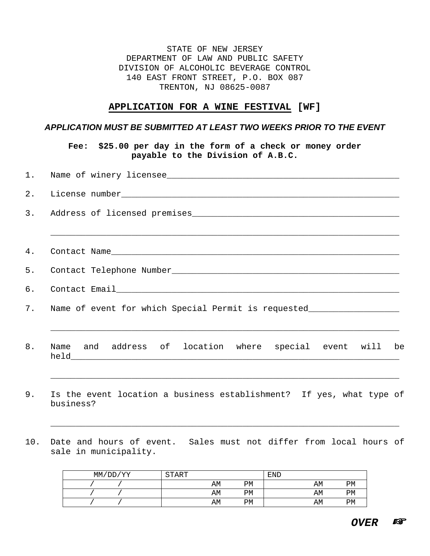STATE OF NEW JERSEY DEPARTMENT OF LAW AND PUBLIC SAFETY DIVISION OF ALCOHOLIC BEVERAGE CONTROL 140 EAST FRONT STREET, P.O. BOX 087 TRENTON, NJ 08625-0087

## **APPLICATION FOR A WINE FESTIVAL [WF]**

## *APPLICATION MUST BE SUBMITTED AT LEAST TWO WEEKS PRIOR TO THE EVENT*

**Fee: \$25.00 per day in the form of a check or money order payable to the Division of A.B.C.**

|    | 1. Name of winery licensee                                                       |  |  |  |  |  |  |
|----|----------------------------------------------------------------------------------|--|--|--|--|--|--|
|    |                                                                                  |  |  |  |  |  |  |
|    |                                                                                  |  |  |  |  |  |  |
|    |                                                                                  |  |  |  |  |  |  |
|    |                                                                                  |  |  |  |  |  |  |
|    |                                                                                  |  |  |  |  |  |  |
|    |                                                                                  |  |  |  |  |  |  |
|    | 7. Name of event for which Special Permit is requested__________________________ |  |  |  |  |  |  |
|    |                                                                                  |  |  |  |  |  |  |
| 8. | Name and address of location where special event will be                         |  |  |  |  |  |  |
|    |                                                                                  |  |  |  |  |  |  |

- 9. Is the event location a business establishment? If yes, what type of business?
- 10. Date and hours of event. Sales must not differ from local hours of sale in municipality.

\_\_\_\_\_\_\_\_\_\_\_\_\_\_\_\_\_\_\_\_\_\_\_\_\_\_\_\_\_\_\_\_\_\_\_\_\_\_\_\_\_\_\_\_\_\_\_\_\_\_\_\_\_\_\_\_\_\_\_\_\_\_\_\_\_\_\_\_\_

| 'DD/YY<br>MM/ | <b>START</b> |    | <b>END</b> |    |
|---------------|--------------|----|------------|----|
|               | AΜ           | PM | AΜ         | PM |
|               | AΜ           | PM | AΜ         | PM |
|               | AΜ           | PM | AΜ         | PM |

*OVER*